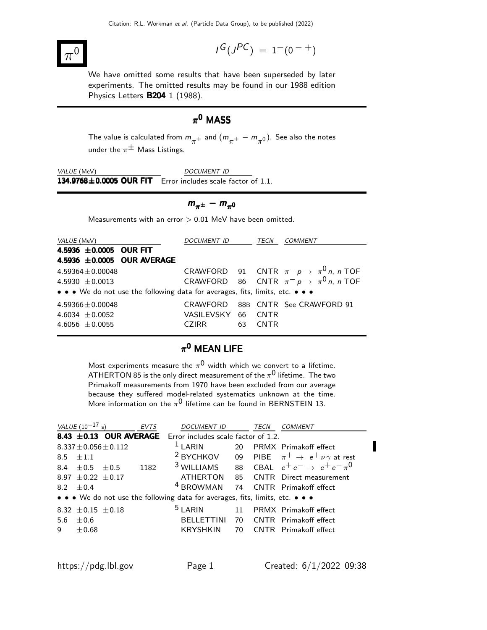#### $\pi$  $\overline{0}$   $\overline{1}$

$$
I^G(J^{PC})\ =\ 1^-(0^{\ -\ +})
$$

We have omitted some results that have been superseded by later experiments. The omitted results may be found in our 1988 edition Physics Letters B204 1 (1988).

### $\pi^{\mathbf{0}}$  MASS

The value is calculated from  $m_{\pi^{\pm}}$  and  $(m_{\pi^{\pm}} - m_{\pi^0})$ . See also the notes under the  $\pi^{\pm}$  Mass Listings.

VALUE (MeV) DOCUMENT ID  $134.9768 \pm 0.0005$  OUR FIT Error includes scale factor of 1.1.

$$
m_{\pi^{\pm}} - m_{\pi^0}
$$

Measurements with an error  $> 0.01$  MeV have been omitted.

| <i>VALUE</i> (MeV)                                                            | DOCUMENT ID TECN   |    | <i>COMMENT</i>                                 |
|-------------------------------------------------------------------------------|--------------------|----|------------------------------------------------|
| 4.5936 ±0.0005 OUR FIT                                                        |                    |    |                                                |
| 4.5936 ±0.0005 OUR AVERAGE                                                    |                    |    |                                                |
| $4.59364 \pm 0.00048$                                                         |                    |    | CRAWFORD 91 CNTR $\pi^- p \to \pi^0 n$ , n TOF |
| 4.5930 $\pm$ 0.0013                                                           |                    |    | CRAWFORD 86 CNTR $\pi^- p \to \pi^0 n$ , n TOF |
| • • • We do not use the following data for averages, fits, limits, etc. • • • |                    |    |                                                |
| $4.59366 \pm 0.00048$                                                         |                    |    | CRAWFORD 88B CNTR See CRAWFORD 91              |
| 4.6034 $\pm$ 0.0052                                                           | VASILEVSKY 66 CNTR |    |                                                |
| 4.6056 $\pm$ 0.0055                                                           | CZIRR              | 63 | <b>CNTR</b>                                    |

#### $\pi^{\mathbf{0}}$  MEAN LIFE

Most experiments measure the  $\pi^{\mathsf{0}}$  width which we convert to a lifetime. <code>ATHERTON</code> 85 is the only direct measurement of the  $\pi^{\mathsf{0}}$  lifetime. The two Primakoff measurements from 1970 have been excluded from our average because they suffered model-related systematics unknown at the time. More information on the  $\pi^0$  lifetime can be found in BERNSTEIN 13.

|     | <i>VALUE</i> $(10^{-17} s)$ |                             | <b>EVTS</b> | <b>DOCUMENT ID</b>                                                               |    | TECN | <i>COMMENT</i>                                                  |
|-----|-----------------------------|-----------------------------|-------------|----------------------------------------------------------------------------------|----|------|-----------------------------------------------------------------|
|     |                             |                             |             | <b>8.43 <math>\pm</math>0.13 OUR AVERAGE</b> Error includes scale factor of 1.2. |    |      |                                                                 |
|     |                             | $8.337 \pm 0.056 \pm 0.112$ |             | $1$ LARIN                                                                        | 20 |      | <b>PRMX</b> Primakoff effect                                    |
|     | $8.5 + 1.1$                 |                             |             | <sup>2</sup> BYCHKOV                                                             |    |      | 09 PIBE $\pi^+ \rightarrow e^+ \nu \gamma$ at rest              |
|     | 8.4 $\pm$ 0.5 $\pm$ 0.5     |                             | 1182        |                                                                                  |    |      | <sup>3</sup> WILLIAMS 88 CBAL $e^+e^- \rightarrow e^+e^- \pi^0$ |
|     | 8.97 $\pm$ 0.22 $\pm$ 0.17  |                             |             | <b>ATHERTON</b>                                                                  | 85 |      | <b>CNTR</b> Direct measurement                                  |
|     | 8.2 $\pm$ 0.4               |                             |             | <sup>4</sup> BROWMAN                                                             |    |      | 74 CNTR Primakoff effect                                        |
|     |                             |                             |             | • • • We do not use the following data for averages, fits, limits, etc. • • •    |    |      |                                                                 |
|     | 8.32 $\pm$ 0.15 $\pm$ 0.18  |                             |             | <sup>5</sup> LARIN                                                               |    |      | 11 PRMX Primakoff effect                                        |
| 5.6 | $+0.6$                      |                             |             | <b>BELLETTINI</b>                                                                | 70 |      | <b>CNTR</b> Primakoff effect                                    |
| q   | $+0.68$                     |                             |             | KRYSHKIN                                                                         | 70 |      | <b>CNTR</b> Primakoff effect                                    |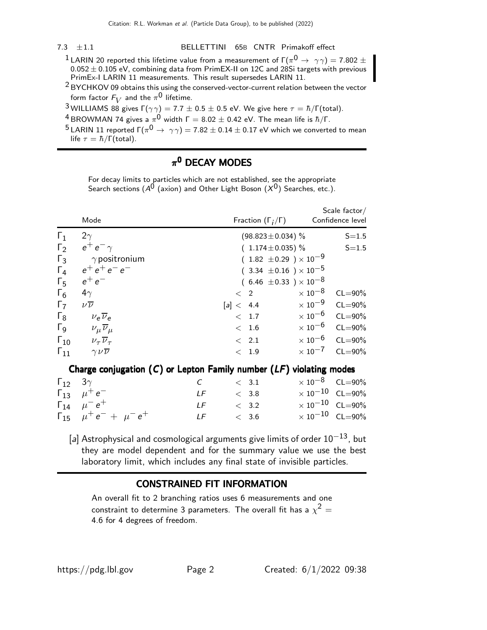#### 7.3 ±1.1 BELLETTINI 65B CNTR Primakoff effect

- $^1$ LARIN 20 reported this lifetime value from a measurement of Г $(\pi^{\mathsf{0}} \rightarrow \gamma \gamma) =$  7.802  $\pm$  $0.052 \pm 0.105$  eV, combining data from PrimEX-II on  $12 \textsf{C}$  and  $28 \textsf{Si}$  targets with previous PrimEx-I LARIN 11 measurements. This result supersedes LARIN 11.
- 2 BYCHKOV 09 obtains this using the conserved-vector-current relation between the vector form factor  $F_V$  and the  $\pi^{\mathsf{0}}$  lifetime.
- <sup>3</sup> WILLIAMS 88 gives  $Γ(γγ) = 7.7 ± 0.5 ± 0.5 eV$ . We give here  $τ = Ξ/Γ(total)$ .
- $^4$ BROWMAN 74 gives a  $\pi^0$  width Г  $=8.02\pm0.42$  eV. The mean life is  $\hbar/\Gamma.$
- $^5$ LARIN 11 reported Г $(\pi^0\to\,\,\gamma\gamma)=$  7.82  $\pm$  0.14  $\pm$  0.17 eV which we converted to mean life  $\tau = \hbar / \Gamma(\text{total})$ .

#### $\pi^{\mathbf{0}}$  DECAY MODES

For decay limits to particles which are not established, see the appropriate Search sections ( $A^{0}$  (axion) and Other Light Boson ( $X^{0}$ ) Searches, etc.).

|                          | Mode                                                                    |     | Fraction $(\Gamma_i/\Gamma)$     |                         | Scale factor $/$<br>Confidence level |
|--------------------------|-------------------------------------------------------------------------|-----|----------------------------------|-------------------------|--------------------------------------|
| $\Gamma_1$               | $2\gamma$                                                               |     | $(98.823 \pm 0.034)$ %           |                         | $S = 1.5$                            |
| $\Gamma_2$               | $e^+e^-\gamma$                                                          |     | $(1.174 \pm 0.035)$ %            |                         | $S = 1.5$                            |
| $\Gamma_3$               | $\gamma$ positronium                                                    |     | $(1.82 \pm 0.29) \times 10^{-9}$ |                         |                                      |
| $\Gamma_4$               | $e^+e^+e^-e^-$                                                          |     | $(3.34 \pm 0.16) \times 10^{-5}$ |                         |                                      |
| $\Gamma_{5}$             | $e^+e^-$                                                                |     | $(6.46 \pm 0.33) \times 10^{-8}$ |                         |                                      |
| $\Gamma_6$               | $4\gamma$                                                               |     | $\langle$ 2                      | $\times$ 10 $^{-8}$     | $CL = 90\%$                          |
| $\Gamma_7$               | $\nu\overline{\nu}$                                                     |     | [a] < 4.4                        | $\times$ 10 $^{-9}$     | $CL = 90\%$                          |
| $\Gamma_8$               | $v_e \overline{v}_e$                                                    |     | < 1.7                            | $\times 10^{-6}$ CL=90% |                                      |
| $\Gamma$ <sub>9</sub>    | $\nu_\mu \overline{\nu}_\mu$                                            |     | < 1.6                            | $\times 10^{-6}$ CL=90% |                                      |
|                          | $\Gamma_{10}$ $\nu_{\tau} \overline{\nu}_{\tau}$                        |     | $\langle$ 2.1                    |                         | $\times 10^{-6}$ CL=90%              |
| $\Gamma_{11}$            | $\gamma \nu \overline{\nu}$                                             |     | < 1.9                            | $\times$ 10 $^{-7}$     | $CL = 90\%$                          |
|                          | Charge conjugation $(C)$ or Lepton Family number $(LF)$ violating modes |     |                                  |                         |                                      |
| $\Gamma_{12}$ 3 $\gamma$ |                                                                         | C   | < 3.1                            |                         | $\times$ 10 <sup>-8</sup> CL=90%     |
|                          | $\Gamma_{13}$ $\mu^+e^-$                                                | LF  | < 3.8                            |                         | $\times 10^{-10}$ CL=90%             |
|                          | $\Gamma_{14}$ $\mu^- e^+$                                               | LF. | < 3.2                            |                         | $\times 10^{-10}$ CL=90%             |
|                          | $\Gamma_{15}$ $\mu^+e^- + \mu^-e^+$                                     | LF  | < 3.6                            |                         | $\times 10^{-10}$ CL=90%             |

[a] Astrophysical and cosmological arguments give limits of order  $10^{-13}$ , but they are model dependent and for the summary value we use the best laboratory limit, which includes any final state of invisible particles.

#### CONSTRAINED FIT INFORMATION

An overall fit to 2 branching ratios uses 6 measurements and one constraint to determine 3 parameters. The overall fit has a  $\chi^2 =$ 4.6 for 4 degrees of freedom.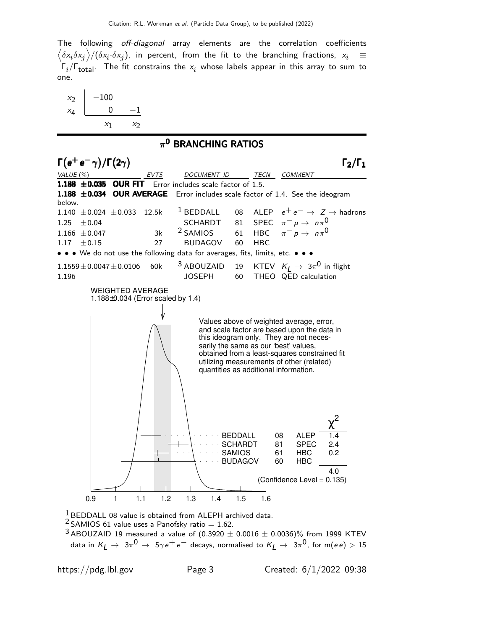The following off-diagonal array elements are the correlation coefficients  $\left<\delta x_i\delta x_j\right>$ / $(\delta x_i\cdot\delta x_j)$ , in percent, from the fit to the branching fractions,  $x_i$   $\;\equiv$  $\Gamma_i/\Gamma_{\rm total}$ . The fit constrains the  $x_i$  whose labels appear in this array to sum to one.



#### $\pi^{\mathbf{0}}$  BRANCHING RATIOS



 $1$  BEDDALL 08 value is obtained from ALEPH archived data.

 $2$  SAMIOS 61 value uses a Panofsky ratio = 1.62.

 $3$  ABOUZAID 19 measured a value of (0.3920  $\pm$  0.0016  $\pm$  0.0036)% from 1999 KTEV data in  $K_L$   $\;\rightarrow\;$   $3\pi^0$   $\;\rightarrow\;$   $5\gamma\,e^+\,e^-$  decays, normalised to  $K_L$   $\;\rightarrow\;$   $3\pi^0$ , for m( $ee)$   $>$   $15$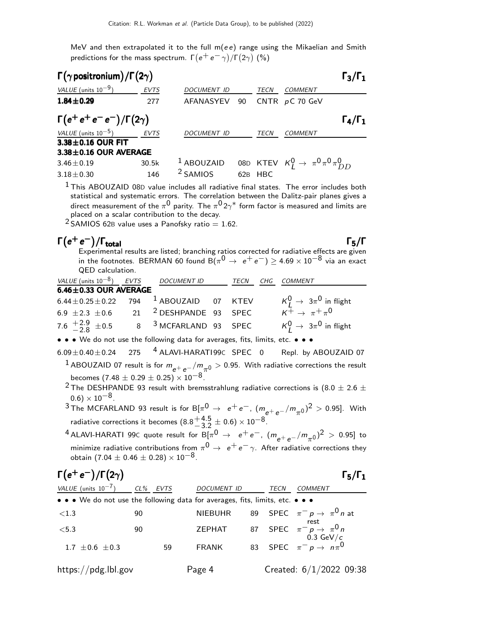MeV and then extrapolated it to the full  $m(e e)$  range using the Mikaelian and Smith predictions for the mass spectrum.  $\Gamma(e^+e^-\gamma)/\Gamma(2\gamma)$  (%)

| $\Gamma(\gamma \text{positronium})/\Gamma(2\gamma)$ |             |                       |     |             |                                                    | $\Gamma_3/\Gamma_1$ |
|-----------------------------------------------------|-------------|-----------------------|-----|-------------|----------------------------------------------------|---------------------|
| VALUE (units $10^{-9}$ )                            | <b>EVTS</b> | <b>DOCUMENT ID</b>    |     | TECN        | COMMENT                                            |                     |
| $1.84 \pm 0.29$                                     | 277         | AFANASYEV             | 90  |             | CNTR $pC$ 70 GeV                                   |                     |
| $\Gamma(e^+e^+e^-e^-)/\Gamma(2\gamma)$              |             |                       |     |             |                                                    | $\Gamma_4/\Gamma_1$ |
| VALUE (units $10^{-5}$ )                            | EVTS        | <b>DOCUMENT ID</b>    |     | <b>TECN</b> | COMMENT                                            |                     |
| 3.38±0.16 OUR FIT                                   |             |                       |     |             |                                                    |                     |
| $3.38 \pm 0.16$ OUR AVERAGE                         |             |                       |     |             |                                                    |                     |
| $3.46 \pm 0.19$                                     | 30.5k       | <sup>1</sup> ABOUZAID |     |             | 08D KTEV $K_I^0 \rightarrow \pi^0 \pi^0 \pi^0 D_I$ |                     |
| $3.18 \pm 0.30$                                     | 146         | <sup>2</sup> SAMIOS   | 62B | <b>HBC</b>  |                                                    |                     |

<sup>1</sup> This ABOUZAID 08D value includes all radiative final states. The error includes both statistical and systematic errors. The correlation between the Dalitz-pair planes gives a direct measurement of the  $\pi^{\mathsf{0}}$  parity. The  $\pi^{\mathsf{0}}$  2 $\gamma^*$  form factor is measured and limits are placed on a scalar contribution to the decay.

 $2$  SAMIOS 62B value uses a Panofsky ratio = 1.62.

## $Γ(e^+e^-)$

 $\Gamma(e^+e^-)/\Gamma_{\text{total}}$  Γ<sub>5</sub>/Γ Experimental results are listed; branching ratios corrected for radiative effects are given in the footnotes. BERMAN 60 found  $\breve{\mathrm{B}}(\pi^0 \rightarrow\ e^+ \, e^-) \geq 4.69 \times 10^{-8}$  via an exact QED calculation.

| VALUE (units $10^{-8}$ ) EVTS                                | DOCUMENT ID                       | TECN | CHG COMMENT                               |
|--------------------------------------------------------------|-----------------------------------|------|-------------------------------------------|
| $6.46 \pm 0.33$ OUR AVERAGE                                  |                                   |      |                                           |
| 6.44 $\pm$ 0.25 $\pm$ 0.22 794 <sup>1</sup> ABOUZAID 07 KTEV |                                   |      | $K_I^0 \rightarrow 3\pi^0$ in flight      |
| 6.9 $\pm 2.3 \pm 0.6$                                        | 21 <sup>2</sup> DESHPANDE 93 SPEC |      | $K^{\frac{r}{2}} \rightarrow \pi^+ \pi^0$ |
| 7.6 $\frac{+2.9}{-2.8}$ ± 0.5                                | 8 <sup>3</sup> MCFARLAND 93 SPEC  |      | $K_I^0 \rightarrow 3\pi^0$ in flight      |

• • • We do not use the following data for averages, fits, limits, etc. • • •

 $6.09\pm0.40\pm0.24$  275  $^4$  ALAVI-HARATI 99C SPEC 0 Repl. by ABOUZAID 07 <sup>1</sup> ABOUZAID 07 result is for  $m_{e^+e^-}/m_{\pi^0} >$  0.95. With radiative corrections the result becomes (7.48  $\pm$  0.29  $\pm$  0.25)  $\times$  10<sup>-8</sup>.

<sup>2</sup> The DESHPANDE 93 result with bremsstrahlung radiative corrections is (8.0  $\pm$  2.6  $\pm$  $(0.6) \times 10^{-8}$ .

 $^3$ The MCFARLAND 93 result is for B[ $\pi^0 \rightarrow e^+e^-,~(m_{e^+e^-}/m_{\pi^0})^2 > 0.95$ ]. With radiative corrections it becomes  $(8.8<sup>+4.5</sup><sub>3.2</sub>)$  $^{+4.5}_{-3.2}$   $\pm$  0.6)  $\times$  10 $^{-8}$ .

 $^{4}$ ALAVI-HARATI 99C quote result for B[ $\pi^{0} \rightarrow\ e^{+}e^{-}$ ,  $(m_{e^{+}e^{-}}/m_{\pi^{0}})^{2}$   $>0.95$ ] to minimize radiative contributions from  $\pi^{\mathsf{0}} \rightarrow\ e^+e^-\gamma$ . After radiative corrections they obtain (7.04  $\pm$  0.46  $\pm$  0.28)  $\times$  10<sup>-8</sup>.

| $\Gamma(e^+e^-)/\Gamma(2\gamma)$                                              |          |    |                    |             | $\Gamma_5/\Gamma_1$                                                  |
|-------------------------------------------------------------------------------|----------|----|--------------------|-------------|----------------------------------------------------------------------|
| VALUE (units $10^{-7}$ )                                                      | CL% EVTS |    | <b>DOCUMENT ID</b> | <b>TECN</b> | <b>COMMENT</b>                                                       |
| • • • We do not use the following data for averages, fits, limits, etc. • • • |          |    |                    |             |                                                                      |
| $\langle 1.3$                                                                 | 90       |    | <b>NIEBUHR</b>     |             | 89 SPEC $\pi^- p \to \pi^0 n$ at                                     |
| < 5.3                                                                         | 90       |    | <b>ZEPHAT</b>      |             | rest<br>87 SPEC $\pi^- p \rightarrow \pi^0 n$<br>$0.3 \text{ GeV}/c$ |
| 1.7 $\pm$ 0.6 $\pm$ 0.3                                                       |          | 59 | <b>FRANK</b>       |             | 83 SPEC $\pi^- p \rightarrow n \pi^0$                                |
| https://pdg.lbl.gov                                                           |          |    | Page 4             |             | Created: $6/1/2022$ 09:38                                            |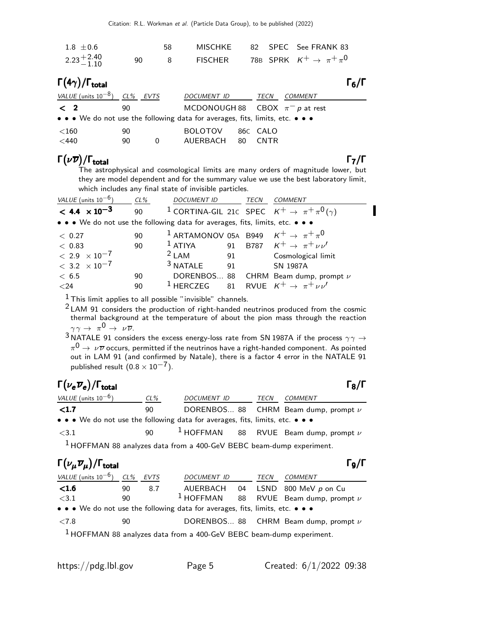| $1.8 \pm 0.6$                                                                 |          | 58 | <b>MISCHKE</b>                      |                |             | 82 SPEC See FRANK 83                   |                   |
|-------------------------------------------------------------------------------|----------|----|-------------------------------------|----------------|-------------|----------------------------------------|-------------------|
| $2.23^{+2.40}_{-1.10}$                                                        | 90       | 8  | <b>FISCHER</b>                      |                |             | 78B SPRK $K^+ \rightarrow \pi^+ \pi^0$ |                   |
| $\Gamma(4\gamma)/\Gamma_{\rm total}$                                          |          |    |                                     |                |             |                                        | $\Gamma_6/\Gamma$ |
| VALUE (units $10^{-8}$ ) CL% EVTS                                             |          |    | <b>DOCUMENT ID</b>                  |                | TECN        | <b>COMMENT</b>                         |                   |
| $\langle$ 2                                                                   | 90       |    | MCDONOUGH 88 CBOX $\pi^- p$ at rest |                |             |                                        |                   |
| • • • We do not use the following data for averages, fits, limits, etc. • • • |          |    |                                     |                |             |                                        |                   |
| $<$ 160<br>$<$ 440                                                            | 90<br>90 | 0  | <b>BOLOTOV</b><br>AUERBACH          | 86C CALO<br>80 | <b>CNTR</b> |                                        |                   |
|                                                                               |          |    |                                     |                |             |                                        |                   |

#### Γ $(\nu \overline{\nu})/\Gamma_{\rm total}$  Γ<sub>7</sub>/Γ /Γ<sub>total</sub>Γ7/Γ

The astrophysical and cosmological limits are many orders of magnitude lower, but they are model dependent and for the summary value we use the best laboratory limit, which includes any final state of invisible particles.

| VALUE (units $10^{-6}$ )                                                      | $CL\%$ | <b>DOCUMENT ID</b>                                            |    | TECN | <b>COMMENT</b>                                                           |
|-------------------------------------------------------------------------------|--------|---------------------------------------------------------------|----|------|--------------------------------------------------------------------------|
| $< 4.4 \times 10^{-3}$                                                        | 90     |                                                               |    |      | <sup>1</sup> CORTINA-GIL 21c SPEC $K^+ \rightarrow \pi^+ \pi^0 (\gamma)$ |
| • • • We do not use the following data for averages, fits, limits, etc. • • • |        |                                                               |    |      |                                                                          |
| < 0.27                                                                        | 90     | <sup>1</sup> ARTAMONOV 05A B949 $K^+ \rightarrow \pi^+ \pi^0$ |    |      |                                                                          |
| < 0.83                                                                        | 90     | <sup>1</sup> ATIYA 91 B787 $K^+ \rightarrow \pi^+ \nu \nu'$   |    |      |                                                                          |
| $< 2.9 \times 10^{-7}$                                                        |        | $2$ LAM                                                       |    |      | 91 Cosmological limit                                                    |
| $< 3.2 \times 10^{-7}$                                                        |        | <sup>3</sup> NATALE                                           | 91 |      | <b>SN 1987A</b>                                                          |
| < 6.5                                                                         | 90     |                                                               |    |      | DORENBOS 88 CHRM Beam dump, prompt v                                     |
| $<$ 24                                                                        | 90     | <sup>1</sup> HERCZEG 81 RVUE $K^+ \rightarrow \pi^+ \nu \nu'$ |    |      |                                                                          |
|                                                                               |        |                                                               |    |      |                                                                          |

 $<sup>1</sup>$  This limit applies to all possible "invisible" channels.</sup>

2 LAM 91 considers the production of right-handed neutrinos produced from the cosmic thermal background at the temperature of about the pion mass through the reaction  $\gamma \gamma \rightarrow \pi^0 \rightarrow \nu \overline{\nu}$ .

 $3$  NATALE 91 considers the excess energy-loss rate from SN 1987A if the process  $\gamma\gamma\to 0$  $\pi^{\mathsf{0}} \rightarrow \,\nu\overline{\nu}$  occurs, permitted if the neutrinos have a right-handed component. As pointed out in LAM 91 (and confirmed by Natale), there is a factor 4 error in the NATALE 91 published result  $(0.8 \times 10^{-7})$ .

# $\Gamma(\nu_e \overline{\nu}_e)/\Gamma_{\rm total}$  Γ<sub>8</sub>/Γ

| I | I |
|---|---|
|   |   |

| VALUE (units $10^{-6}$ )                                                      | CL% | <i>DOCUMENT ID</i> |  | TECN | COMMENT                                     |  |  |
|-------------------------------------------------------------------------------|-----|--------------------|--|------|---------------------------------------------|--|--|
| $\langle 1.7$                                                                 | 90  |                    |  |      | DORENBOS 88 CHRM Beam dump, prompt $\nu$    |  |  |
| • • • We do not use the following data for averages, fits, limits, etc. • • • |     |                    |  |      |                                             |  |  |
| $<$ 3.1                                                                       | 90  |                    |  |      | $1$ HOFFMAN 88 RVUE Beam dump, prompt $\nu$ |  |  |
| $1$ HOFFMAN 88 analyzes data from a 400-GeV BEBC beam-dump experiment.        |     |                    |  |      |                                             |  |  |

# Γ $(\nu_{\mu}\overline{\nu}_{\mu})/\Gamma_{\text{total}}$  Γ9/Γ

| VALUE (units $10^{-6}$ ) CL% EVTS                                             |    |     | <b>DOCUMENT ID</b>                                                              | TECN | COMMENT                                              |
|-------------------------------------------------------------------------------|----|-----|---------------------------------------------------------------------------------|------|------------------------------------------------------|
| $\leq1.6$                                                                     | 90 | 8.7 |                                                                                 |      | AUERBACH 04 LSND 800 MeV p on Cu                     |
| <3.1                                                                          | 90 |     |                                                                                 |      | <sup>1</sup> HOFFMAN 88 RVUE Beam dump, prompt $\nu$ |
| • • • We do not use the following data for averages, fits, limits, etc. • • • |    |     |                                                                                 |      |                                                      |
| < 7.8                                                                         | 90 |     |                                                                                 |      | DORENBOS 88 CHRM Beam dump, prompt $\nu$             |
|                                                                               |    |     | <sup>1</sup> HOFFMAN 88 analyzes data from a 400-GeV BEBC beam-dump experiment. |      |                                                      |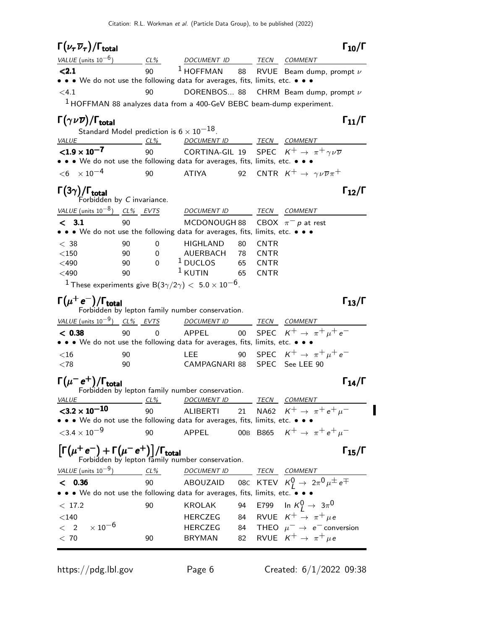| $\Gamma(\nu_\tau\,\overline{\nu}_\tau)/\Gamma_{\rm total}$                                                                |        |             |                                                                      |    |             | $\Gamma_{10}/\Gamma$                                                                                                                                                    |
|---------------------------------------------------------------------------------------------------------------------------|--------|-------------|----------------------------------------------------------------------|----|-------------|-------------------------------------------------------------------------------------------------------------------------------------------------------------------------|
| VALUE (units $10^{-6}$ )                                                                                                  |        | $CL\%$      |                                                                      |    |             |                                                                                                                                                                         |
| < 2.1                                                                                                                     |        | 90          |                                                                      |    |             | $\begin{tabular}{c c c} \hline \textit{DCUMENT ID} & \textit{TECN} & \textit{COMMENT} \\ \hline 1 HOFFMAN & 88 & RVUE & Beam dump, prompt $\nu$ \\\hline \end{tabular}$ |
| • • • We do not use the following data for averages, fits, limits, etc. • • •                                             |        |             |                                                                      |    |             |                                                                                                                                                                         |
| < 4.1                                                                                                                     |        | 90          |                                                                      |    |             | DORENBOS 88 CHRM Beam dump, prompt $\nu$                                                                                                                                |
| $1$ HOFFMAN 88 analyzes data from a 400-GeV BEBC beam-dump experiment.                                                    |        |             |                                                                      |    |             |                                                                                                                                                                         |
| $\Gamma(\gamma\nu\overline{\nu})/\Gamma_{\rm total}$                                                                      |        |             |                                                                      |    |             | $\Gamma_{11}/\Gamma$                                                                                                                                                    |
| Standard Model prediction is $6 \times 10^{-18}$ .                                                                        |        |             |                                                                      |    |             |                                                                                                                                                                         |
| $VALUE$ CL%                                                                                                               |        |             | DOCUMENT ID TECN COMMENT                                             |    |             |                                                                                                                                                                         |
| $< 1.9 \times 10^{-7}$                                                                                                    |        | 90          |                                                                      |    |             | CORTINA-GIL 19 SPEC $K^+ \rightarrow \pi^+ \gamma \nu \overline{\nu}$                                                                                                   |
| • • • We do not use the following data for averages, fits, limits, etc. • • •                                             |        |             |                                                                      |    |             |                                                                                                                                                                         |
| $< 6 \times 10^{-4}$                                                                                                      |        | 90          | <b>ATIYA</b>                                                         |    |             | 92 CNTR $K^+ \rightarrow \gamma \nu \overline{\nu} \pi^+$                                                                                                               |
| $\Gamma(3\gamma)/\Gamma_{\rm total}$ Forbidden by C invariance.                                                           |        |             |                                                                      |    |             | $\Gamma_{12}/\Gamma$                                                                                                                                                    |
| VALUE (units $10^{-8}$ ) CL% EVTS                                                                                         |        |             | DOCUMENT ID                                                          |    |             | TECN COMMENT                                                                                                                                                            |
| < 3.1                                                                                                                     | 90     |             | MCDONOUGH 88                                                         |    |             | CBOX $\pi^- p$ at rest                                                                                                                                                  |
| • • • We do not use the following data for averages, fits, limits, etc. • • •                                             |        |             |                                                                      |    |             |                                                                                                                                                                         |
| < 38                                                                                                                      | 90     | 0           | HIGHLAND                                                             | 80 | <b>CNTR</b> |                                                                                                                                                                         |
| $<$ 150                                                                                                                   | 90     | 0           | AUERBACH     78    CNTR<br><sup>1</sup> DUCLOS           65     CNTR |    |             |                                                                                                                                                                         |
| $<$ 490                                                                                                                   | 90     | $\mathbf 0$ | $1$ KUTIN                                                            |    |             |                                                                                                                                                                         |
| $<$ 490                                                                                                                   | 90     |             |                                                                      | 65 | <b>CNTR</b> |                                                                                                                                                                         |
| $^{-1}$ These experiments give B(3 $\gamma/2\gamma) <~$ 5.0 $\times$ 10 $^{-6}$ .                                         |        |             |                                                                      |    |             |                                                                                                                                                                         |
| $\Gamma(\mu^+\,{\rm e}^-)/\Gamma_{\rm total}$                                                                             |        |             | Forbidden by lepton family number conservation.                      |    |             | $\Gamma_{13}/\Gamma$                                                                                                                                                    |
| VALUE (units $10^{-9}$ ) CL% EVTS                                                                                         |        |             | DOCUMENT ID                                                          |    |             | TECN COMMENT                                                                                                                                                            |
| < 0.38                                                                                                                    | 90     | $\Omega$    | APPEL                                                                | 00 |             | SPEC $K^+ \rightarrow \pi^+ \mu^+ e^-$                                                                                                                                  |
| • • • We do not use the following data for averages, fits, limits, etc. • • •                                             |        |             |                                                                      |    |             |                                                                                                                                                                         |
| $<$ 16                                                                                                                    | 90     |             | LEE.                                                                 | 90 |             | SPEC $K^+ \rightarrow \pi^+ \mu^+ e^-$                                                                                                                                  |
| $<$ 78                                                                                                                    | 90     |             | CAMPAGNARI 88                                                        |    |             | SPEC See LEE 90                                                                                                                                                         |
| $\Gamma(\mu^- e^+) / \Gamma_{\text{total}}$<br>Forbidden by lepton family number conservation.                            |        |             |                                                                      |    |             | $\Gamma_{14}/\Gamma$                                                                                                                                                    |
|                                                                                                                           |        |             |                                                                      |    |             |                                                                                                                                                                         |
| <u>VALUE</u><br>${<}3.2 \times 10^{-10}$                                                                                  | $CL\%$ | 90          | DOCUMENT ID TECN COMMENT<br>ALIBERTI                                 | 21 |             | NA62 $K^+ \rightarrow \pi^+ e^+ \mu^-$                                                                                                                                  |
| • • We do not use the following data for averages, fits, limits, etc. • • •                                               |        |             |                                                                      |    |             |                                                                                                                                                                         |
| ${<}3.4\times10^{-9}$                                                                                                     |        | 90          | APPEL                                                                |    |             | 00B B865 $K^+ \to \pi^+ e^+ \mu^-$                                                                                                                                      |
| $\left[\Gamma(\mu^+e^-)+\Gamma(\mu^-e^+)\right]/\Gamma_{\text{total}}$<br>Forbidden by lepton family number conservation. |        |             |                                                                      |    |             | $\Gamma_{15}/\Gamma$                                                                                                                                                    |
|                                                                                                                           |        |             |                                                                      |    |             |                                                                                                                                                                         |
| VALUE (units $10^{-9}$ )                                                                                                  | CL%    |             | DOCUMENT ID TECN COMMENT                                             |    |             |                                                                                                                                                                         |
| < 0.36<br>• • We do not use the following data for averages, fits, limits, etc. •                                         |        | 90          |                                                                      |    |             | ABOUZAID 08C KTEV $K^0_L \rightarrow 2\pi^0 \mu^{\pm} e^{\mp}$                                                                                                          |
|                                                                                                                           |        |             |                                                                      |    |             |                                                                                                                                                                         |
| < 17.2                                                                                                                    |        | 90          | <b>KROLAK</b>                                                        | 94 |             | E799 In $K_L^0\to~3\pi^0$<br>84 RVUE $K^+ \rightarrow \pi^+ \mu e$                                                                                                      |
| $<$ 140 $\,$<br>$\times$ 10 $^{-6}$<br>$\langle$ 2                                                                        |        |             | HERCZEG<br><b>HERCZEG</b>                                            | 84 |             | THEO $\mu^- \rightarrow e^-$ conversion                                                                                                                                 |
| < 70                                                                                                                      |        | 90          | BRYMAN                                                               | 82 |             | RVUE $K^+ \rightarrow \pi^+ \mu e$                                                                                                                                      |
|                                                                                                                           |        |             |                                                                      |    |             |                                                                                                                                                                         |

https://pdg.lbl.gov Page 6 Created:  $6/1/2022$  09:38

 $\blacksquare$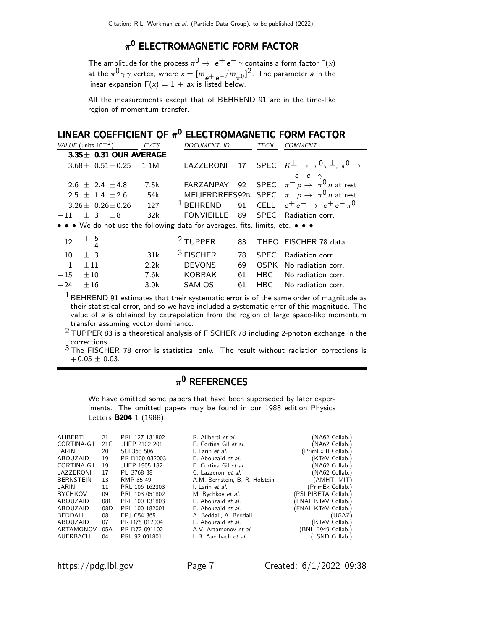#### $\pi^{\mathbf{0}}$  ELECTROMAGNETIC FORM FACTOR

The amplitude for the process  $\pi^0\rightarrow\ e^+\,e^-\,\gamma$  contains a form factor F(x) at the  $\pi^{0}\gamma\gamma$  vertex, where  $x=[m_{e^+e^-}/m_{\pi^0}]^2$ . The parameter a in the linear expansion  $F(x) = 1 + ax$  is listed below.

All the measurements except that of BEHREND 91 are in the time-like region of momentum transfer.

#### LINEAR COEFFICIENT OF  $\pi^0$  electromagnetic form factor

| VALUE (units $10^{-2}$ ) EVTS                                                  |      | DOCUMENT ID | TECN | <b>COMMENT</b>                                                                                       |
|--------------------------------------------------------------------------------|------|-------------|------|------------------------------------------------------------------------------------------------------|
| 3.35± 0.31 OUR AVERAGE                                                         |      |             |      |                                                                                                      |
| $3.68 \pm 0.51 \pm 0.25$ 1.1M                                                  |      |             |      | <code>LAZZERONI</code> 17 <code>SPEC</code> $K^{\pm} \rightarrow \pi^0 \pi^{\pm}; \pi^0 \rightarrow$ |
|                                                                                |      |             |      | $e^+$ $e^ \gamma$                                                                                    |
| $2.6 \pm 2.4 \pm 4.8$                                                          | 7.5k |             |      | FARZANPAY 92 SPEC $\pi^- p \rightarrow \pi^0 n$ at rest                                              |
| $2.5 \pm 1.4 \pm 2.6$                                                          | 54k  |             |      | MEIJERDREES92B SPEC $\pi^- p \to \pi^0 n$ at rest                                                    |
| 3.26 $\pm$ 0.26 $\pm$ 0.26                                                     | 127  |             |      | <sup>1</sup> BEHREND 91 CELL $e^+e^- \rightarrow e^+e^- \pi^0$                                       |
| $-11$ + 3 + 8                                                                  | 32k  |             |      | FONVIEILLE 89 SPEC Radiation corr.                                                                   |
| a ta a Marsha watu wa tha fallawiwa data fay awwaysa fita liyaita taka ta a ta |      |             |      |                                                                                                      |

• • We do not use the following data for averages, fits, limits, etc. • • •

| $12 \t + \t 5 \t 4$ |      | $2$ TUPPER    |  | 83 THEO FISCHER 78 data    |
|---------------------|------|---------------|--|----------------------------|
| $10 + 3$            | 31k  | $3$ FISCHER   |  | 78 SPEC Radiation corr.    |
| $1 + 11$            | 2.2k | <b>DEVONS</b> |  | 69 OSPK No radiation corr. |
| $-15 + 10$          | 7.6k | KOBRAK        |  | 61 HBC No radiation corr.  |
| $-24 + 16$          | 3.0k | SAMIOS        |  | 61 HBC No radiation corr.  |

 $1$  BEHREND 91 estimates that their systematic error is of the same order of magnitude as their statistical error, and so we have included a systematic error of this magnitude. The value of a is obtained by extrapolation from the region of large space-like momentum transfer assuming vector dominance.

 $2$  TUPPER 83 is a theoretical analysis of FISCHER 78 including 2-photon exchange in the corrections.

3 The FISCHER 78 error is statistical only. The result without radiation corrections is  $+0.05 \pm 0.03$ .

#### $\pi^{\mathsf{0}}$  REFERENCES

We have omitted some papers that have been superseded by later experiments. The omitted papers may be found in our 1988 edition Physics Letters **B204** 1 (1988).

| <b>ALIBERTI</b>  | 21   | PRL 127 131802 | R. Aliberti et al.             | (NA62 Collab.)       |
|------------------|------|----------------|--------------------------------|----------------------|
| CORTINA-GIL      | 21 C | JHEP 2102 201  | E. Cortina Gil et al.          | (NA62 Collab.)       |
| LARIN            | 20   | SCI 368 506    | I. Larin et al.                | (PrimEx II Collab.)  |
| ABOUZAID         | 19   | PR D100 032003 | E. Abouzaid et al.             | (KTeV Collab.)       |
| CORTINA-GIL      | 19   | JHEP 1905 182  | E. Cortina Gil et al.          | (NA62 Collab.)       |
| LAZZERONI        | 17   | PL B768 38     | C. Lazzeroni et al.            | (NA62 Collab.)       |
| <b>BERNSTEIN</b> | 13   | RMP 85 49      | A.M. Bernstein, B. R. Holstein | (AMHT, MIT)          |
| LARIN            | 11   | PRL 106 162303 | I. Larin et al.                | (PrimEx Collab.)     |
| <b>BYCHKOV</b>   | 09   | PRL 103 051802 | M. Bychkov et al.              | (PSI PIBETA Collab.) |
| ABOUZAID         | 08C  | PRL 100 131803 | E. Abouzaid et al.             | (FNAL KTeV Collab.)  |
| ABOUZAID         | 08D  | PRL 100 182001 | E. Abouzaid et al.             | (FNAL KTeV Collab.)  |
| BEDDALL          | 08   | EP.I C54 365   | A. Beddall, A. Beddall         | (UGAZ)               |
| ABOUZAID         | 07   | PR D75 012004  | E. Abouzaid et al.             | (KTeV Collab.)       |
| ARTAMONOV        | 05A  | PR D72 091102  | A.V. Artamonov et al.          | (BNL E949 Collab.)   |
| AUERBACH         | 04   | PRL 92 091801  | L.B. Auerbach et al.           | (LSND Collab.)       |